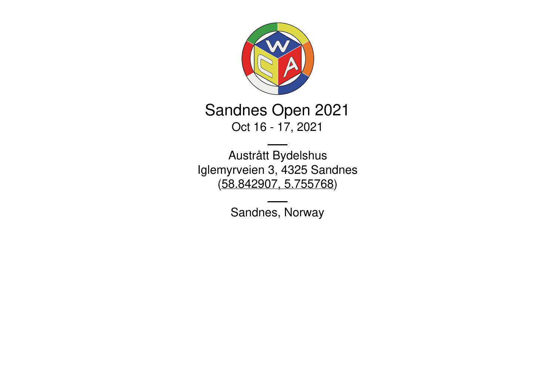

# Sandnes Open 2021 Oct 16 - 17, 2021

Austrått Bydelshus Iglemyrveien 3, 4325 Sandnes [\(58.842907,](https://www.google.com/maps/place/58.842907,5.755768) 5.755768)

Sandnes, Norway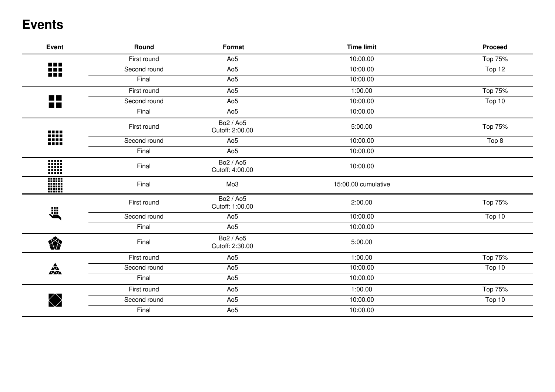### **Events**

| <b>Event</b>                | Round        | Format                       | <b>Time limit</b>   | <b>Proceed</b> |
|-----------------------------|--------------|------------------------------|---------------------|----------------|
|                             | First round  | Ao <sub>5</sub>              | 10:00.00            | Top 75%        |
| e e c<br>nn<br><b>DEE</b>   | Second round | Ao <sub>5</sub>              | 10:00.00            | Top 12         |
|                             | Final        | Ao <sub>5</sub>              | 10:00.00            |                |
|                             | First round  | Ao <sub>5</sub>              | 1:00.00             | Top 75%        |
| <b>MAG</b><br><b>The Co</b> | Second round | Ao <sub>5</sub>              | 10:00.00            | Top 10         |
|                             | Final        | Ao <sub>5</sub>              | 10:00.00            |                |
|                             | First round  | Bo2 / Ao5<br>Cutoff: 2:00.00 | 5:00.00             | Top 75%        |
| W                           | Second round | Ao <sub>5</sub>              | 10:00.00            | Top 8          |
|                             | Final        | Ao <sub>5</sub>              | 10:00.00            |                |
| W                           | Final        | Bo2 / Ao5<br>Cutoff: 4:00.00 | 10:00.00            |                |
|                             | Final        | Mo <sub>3</sub>              | 15:00.00 cumulative |                |
|                             | First round  | Bo2 / Ao5<br>Cutoff: 1:00.00 | 2:00.00             | Top 75%        |
| 义                           | Second round | Ao <sub>5</sub>              | 10:00.00            | Top 10         |
|                             | Final        | Ao <sub>5</sub>              | 10:00.00            |                |
| 樂                           | Final        | Bo2 / Ao5<br>Cutoff: 2:30.00 | 5:00.00             |                |
|                             | First round  | Ao <sub>5</sub>              | 1:00.00             | Top 75%        |
| 森                           | Second round | Ao <sub>5</sub>              | 10:00.00            | Top 10         |
|                             | Final        | Ao <sub>5</sub>              | 10:00.00            |                |
|                             | First round  | Ao <sub>5</sub>              | 1:00.00             | Top 75%        |
|                             | Second round | Ao <sub>5</sub>              | 10:00.00            | Top 10         |
|                             | Final        | Ao <sub>5</sub>              | 10:00.00            |                |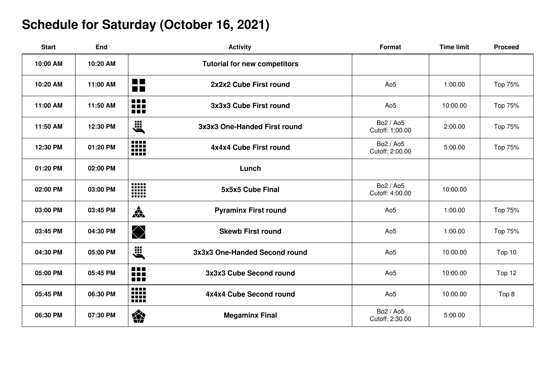# **Schedule for Saturday (October 16, 2021)**

| <b>Start</b> | End      | <b>Activity</b>                                       | <b>Format</b>                | <b>Time limit</b> | <b>Proceed</b> |
|--------------|----------|-------------------------------------------------------|------------------------------|-------------------|----------------|
| 10:00 AM     | 10:20 AM | <b>Tutorial for new competitors</b>                   |                              |                   |                |
| 10:20 AM     | 11:00 AM | <b>College</b><br>2x2x2 Cube First round<br><b>RR</b> | Ao <sub>5</sub>              | 1:00.00           | Top 75%        |
| 11:00 AM     | 11:50 AM | 88<br>3x3x3 Cube First round                          | Ao <sub>5</sub>              | 10:00.00          | Top 75%        |
| 11:50 AM     | 12:30 PM | <b>E</b><br>3x3x3 One-Handed First round              | Bo2 / Ao5<br>Cutoff: 1:00.00 | 2:00.00           | Top 75%        |
| 12:30 PM     | 01:20 PM | ₩<br>4x4x4 Cube First round                           | Bo2 / Ao5<br>Cutoff: 2:00.00 | 5:00.00           | Top 75%        |
| 01:20 PM     | 02:00 PM | Lunch                                                 |                              |                   |                |
| 02:00 PM     | 03:00 PM | W<br>5x5x5 Cube Final                                 | Bo2 / Ao5<br>Cutoff: 4:00.00 | 10:00.00          |                |
| 03:00 PM     | 03:45 PM | $\frac{1}{\sqrt{2}}$<br><b>Pyraminx First round</b>   | Ao <sub>5</sub>              | 1:00.00           | Top 75%        |
| 03:45 PM     | 04:30 PM | $\bigotimes$<br><b>Skewb First round</b>              | Ao <sub>5</sub>              | 1:00.00           | Top 75%        |
| 04:30 PM     | 05:00 PM | <b>EXA</b><br>3x3x3 One-Handed Second round           | Ao <sub>5</sub>              | 10:00.00          | Top 10         |
| 05:00 PM     | 05:45 PM | 88<br>3x3x3 Cube Second round<br>nn a                 | Ao <sub>5</sub>              | 10:00.00          | Top 12         |
| 05:45 PM     | 06:30 PM | W<br>4x4x4 Cube Second round                          | Ao <sub>5</sub>              | 10:00.00          | Top 8          |
| 06:30 PM     | 07:30 PM | 樂<br><b>Megaminx Final</b>                            | Bo2 / Ao5<br>Cutoff: 2:30.00 | 5:00.00           |                |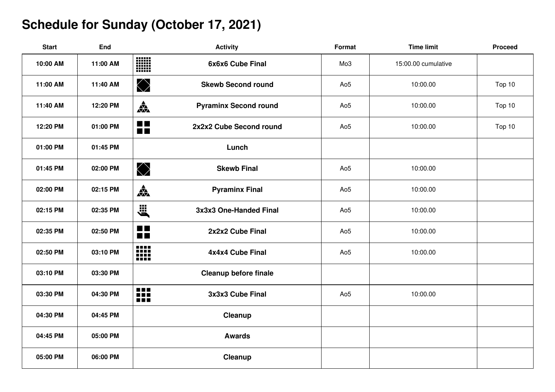# **Schedule for Sunday (October 17, 2021)**

| <b>Start</b> | End      | <b>Activity</b>                                        | Format          | <b>Time limit</b>   | <b>Proceed</b> |
|--------------|----------|--------------------------------------------------------|-----------------|---------------------|----------------|
| 10:00 AM     | 11:00 AM | <b>WAN</b><br>WAN<br>6x6x6 Cube Final                  | Mo <sub>3</sub> | 15:00.00 cumulative |                |
| 11:00 AM     | 11:40 AM | $\bigotimes$<br><b>Skewb Second round</b>              | Ao <sub>5</sub> | 10:00.00            | Top 10         |
| 11:40 AM     | 12:20 PM | $\frac{1}{\sqrt{2}}$<br><b>Pyraminx Second round</b>   | Ao <sub>5</sub> | 10:00.00            | Top 10         |
| 12:20 PM     | 01:00 PM | $\blacksquare$<br>2x2x2 Cube Second round<br><b>DB</b> | Ao <sub>5</sub> | 10:00.00            | Top 10         |
| 01:00 PM     | 01:45 PM | Lunch                                                  |                 |                     |                |
| 01:45 PM     | 02:00 PM | $\bigotimes$<br><b>Skewb Final</b>                     | Ao <sub>5</sub> | 10:00.00            |                |
| 02:00 PM     | 02:15 PM | <b>AX</b><br><b>Pyraminx Final</b>                     | Ao <sub>5</sub> | 10:00.00            |                |
| 02:15 PM     | 02:35 PM | ,<br>3x3x3 One-Handed Final                            | Ao <sub>5</sub> | 10:00.00            |                |
| 02:35 PM     | 02:50 PM | <b>The Co</b><br>2x2x2 Cube Final<br>$\blacksquare$    | Ao <sub>5</sub> | 10:00.00            |                |
| 02:50 PM     | 03:10 PM | ₩<br>4x4x4 Cube Final                                  | Ao <sub>5</sub> | 10:00.00            |                |
| 03:10 PM     | 03:30 PM | <b>Cleanup before finale</b>                           |                 |                     |                |
| 03:30 PM     | 04:30 PM | O D D<br>3x3x3 Cube Final<br>888                       | Ao <sub>5</sub> | 10:00.00            |                |
| 04:30 PM     | 04:45 PM | Cleanup                                                |                 |                     |                |
| 04:45 PM     | 05:00 PM | <b>Awards</b>                                          |                 |                     |                |
| 05:00 PM     | 06:00 PM | Cleanup                                                |                 |                     |                |